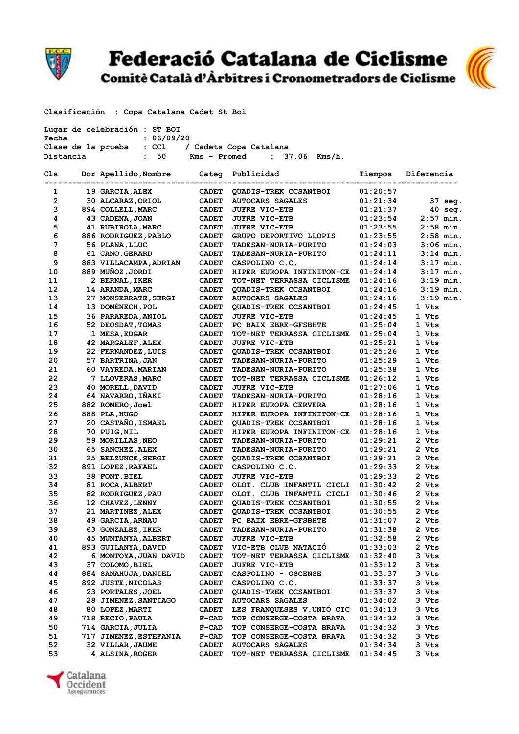

## Federació Catalana de Ciclisme<br>Comitè Català d'Àrbitres i Cronometradors de Ciclisme



**Clasificación : Copa Catalana Cadet St Boi** 

| Lugar de celebración : ST BOI<br>Fecha<br>: 06/09/20 |  |                                       |                              |                                                      |                      |                |  |
|------------------------------------------------------|--|---------------------------------------|------------------------------|------------------------------------------------------|----------------------|----------------|--|
|                                                      |  | Clase de la prueba : CC1              |                              | / Cadets Copa Catalana                               |                      |                |  |
| Distancia                                            |  | : 50                                  | Kms - Promed                 | $: 37.06$ Kms/h.                                     |                      |                |  |
| Cls                                                  |  | Dor Apellido, Nombre Categ Publicidad |                              |                                                      | Tiempos              | Diferencia     |  |
| 1                                                    |  | 19 GARCIA, ALEX                       | <b>CADET</b>                 | QUADIS-TREK CCSANTBOI                                | 01:20:57             |                |  |
| $\overline{2}$                                       |  | 30 ALCARAZ, ORIOL                     | <b>CADET</b>                 | <b>AUTOCARS SAGALES</b>                              | 01:21:34             | 37 seg.        |  |
| 3                                                    |  | 894 COLLELL, MARC                     | <b>CADET</b>                 | <b>JUFRE VIC-ETB</b>                                 | 01:21:37             | $40$ seq.      |  |
| 4                                                    |  | 43 CADENA, JOAN                       | <b>CADET</b>                 | <b>JUFRE VIC-ETB</b>                                 | 01:23:54             | $2:57$ min.    |  |
| 5                                                    |  | 41 RUBIROLA, MARC                     | <b>CADET</b>                 | <b>JUFRE VIC-ETB</b>                                 | 01:23:55             | $2:58$ min.    |  |
| 6                                                    |  | 886 RODRIGUEZ, PABLO                  | <b>CADET</b>                 | GRUPO DEPORTIVO LLOPIS                               | 01:23:55             | $2:58$ min.    |  |
| 7                                                    |  | 56 PLANA, LLUC                        | <b>CADET</b>                 | TADESAN-NURIA-PURITO                                 | 01:24:03             | $3:06$ min.    |  |
| 8                                                    |  | 61 CANO, GERARD                       | <b>CADET</b>                 | TADESAN-NURIA-PURITO                                 | 01:24:11             | $3:14$ min.    |  |
| 9                                                    |  | 883 VILLACAMPA, ADRIAN                | <b>CADET</b>                 | CASPOLINO C.C.                                       | 01:24:14             | $3:17$ min.    |  |
| 10                                                   |  | 889 MUÑOZ, JORDI                      | <b>CADET</b>                 | HIPER EUROPA INFINITON-CE                            | 01:24:14             | $3:17$ min.    |  |
| 11                                                   |  | 2 BERNAL, IKER                        | <b>CADET</b>                 | TOT-NET TERRASSA CICLISME                            | 01:24:16             | $3:19$ min.    |  |
| 12                                                   |  | 14 ARANDA, MARC                       | <b>CADET</b>                 | QUADIS-TREK CCSANTBOI                                | 01:24:16             | $3:19$ min.    |  |
| 13                                                   |  | 27 MONSERRATE, SERGI                  | <b>CADET</b>                 | <b>AUTOCARS SAGALES</b>                              | 01:24:16             | $3:19$ min.    |  |
| 14                                                   |  | 13 DOMENECH, POL                      | <b>CADET</b>                 | <b>QUADIS-TREK CCSANTBOI</b>                         | 01:24:45             | 1 Vts          |  |
| 15                                                   |  | 36 PARAREDA, ANIOL                    | <b>CADET</b>                 | <b>JUFRE VIC-ETB</b>                                 | 01:24:45             | 1 Vts          |  |
| 16                                                   |  | 52 DEOSDAT, TOMAS                     | <b>CADET</b>                 | PC BAIX EBRE-GFSBHTE                                 | 01:25:04             | 1 Vts          |  |
| 17                                                   |  | 1 MESA, EDGAR                         | <b>CADET</b>                 | TOT-NET TERRASSA CICLISME                            | 01:25:04             | 1 Vts          |  |
| 18                                                   |  | 42 MARGALEF, ALEX                     | <b>CADET</b>                 | <b>JUFRE VIC-ETB</b>                                 | 01:25:21             | 1 Vts          |  |
| 19                                                   |  | 22 FERNANDEZ, LUIS                    | <b>CADET</b>                 | QUADIS-TREK CCSANTBOI                                | 01:25:26             | 1 Vts          |  |
| 20                                                   |  | 57 BARTRINA, JAN                      | <b>CADET</b>                 | TADESAN-NURIA-PURITO                                 | 01:25:29             | 1 Vts          |  |
| 21<br>22                                             |  | 60 VAYREDA, MARIAN                    | <b>CADET</b>                 | <b>TADESAN-NURIA-PURITO</b>                          | 01:25:38             | 1 Vts<br>1 Vts |  |
| 23                                                   |  | 7 LLOVERAS, MARC<br>40 MORELL, DAVID  | <b>CADET</b><br><b>CADET</b> | TOT-NET TERRASSA CICLISME<br><b>JUFRE VIC-ETB</b>    | 01:26:12             | 1 Vts          |  |
| 24                                                   |  | 64 NAVARRO, IÑAKI                     | <b>CADET</b>                 | TADESAN-NURIA-PURITO                                 | 01:27:06<br>01:28:16 | 1 Vts          |  |
| 25                                                   |  | 882 ROMERO, Joel                      | <b>CADET</b>                 | HIPER EUROPA CERVERA                                 | 01:28:16             | 1 Vts          |  |
| 26                                                   |  | 888 PLA, HUGO                         | <b>CADET</b>                 | HIPER EUROPA INFINITON-CE                            | 01:28:16             | 1 Vts          |  |
| 27                                                   |  | 20 CASTAÑO, ISMAEL                    | <b>CADET</b>                 | QUADIS-TREK CCSANTBOI                                | 01:28:16             | 1 Vts          |  |
| 28                                                   |  | 70 PUIG, NIL                          | <b>CADET</b>                 | HIPER EUROPA INFINITON-CE                            | 01:28:16             | 1 Vts          |  |
| 29                                                   |  | 59 MORILLAS, NEO                      | <b>CADET</b>                 | TADESAN-NURIA-PURITO                                 | 01:29:21             | 2 Vts          |  |
| 30                                                   |  | 65 SANCHEZ, ALEX                      | <b>CADET</b>                 | <b>TADESAN-NURIA-PURITO</b>                          | 01:29:21             | 2 Vts          |  |
| 31                                                   |  | 25 BELZUNCE, SERGI                    | <b>CADET</b>                 | QUADIS-TREK CCSANTBOI                                | 01:29:21             | 2 Vts          |  |
| 32                                                   |  | 891 LOPEZ, RAFAEL                     | <b>CADET</b>                 | CASPOLINO C.C.                                       | 01:29:33             | 2 Vts          |  |
| 33                                                   |  | 38 FONT, BIEL                         | <b>CADET</b>                 | <b>JUFRE VIC-ETB</b>                                 | 01:29:33             | 2 Vts          |  |
| 34                                                   |  | 81 ROCA, ALBERT                       | <b>CADET</b>                 | OLOT. CLUB INFANTIL CICLI                            | 01:30:42             | 2 Vts          |  |
| 35                                                   |  | 82 RODRIGUEZ, PAU                     | <b>CADET</b>                 | OLOT. CLUB INFANTIL CICLI                            | 01:30:46             | 2 Vts          |  |
| 36                                                   |  | 12 CHAVEZ, LENNY                      | <b>CADET</b>                 | QUADIS-TREK CCSANTBOI                                | 01:30:55             | 2 Vts          |  |
| 37                                                   |  | 21 MARTINEZ, ALEX                     | <b>CADET</b>                 | QUADIS-TREK CCSANTBOI                                | 01:30:55             | 2 Vts          |  |
| 38                                                   |  | 49 GARCIA, ARNAU                      | <b>CADET</b>                 | PC BAIX EBRE-GFSBHTE                                 | 01:31:07             | 2 Vts          |  |
| 39                                                   |  | 63 GONZALEZ, IKER                     | <b>CADET</b>                 | <b>TADESAN-NURIA-PURITO</b>                          | 01:31:38             | 2 Vts          |  |
| 40                                                   |  | <b>45 MUNTANYA, ALBERT</b>            | <b>CADET</b>                 | <b>JUFRE VIC-ETB</b>                                 | 01:32:58             | 2 Vts          |  |
| 41                                                   |  | 893 GUILANYA, DAVID                   | <b>CADET</b>                 | VIC-ETB CLUB NATACIO                                 | 01:33:03             | 2 Vts          |  |
| 42                                                   |  | 6 MONTOYA, JUAN DAVID                 | <b>CADET</b>                 | TOT-NET TERRASSA CICLISME                            | 01:32:40             | 3 Vts          |  |
| 43                                                   |  | 37 COLOMO, BIEL                       | <b>CADET</b>                 | <b>JUFRE VIC-ETB</b>                                 | 01:33:12             | 3 Vts          |  |
| 44                                                   |  | 884 SANAHUJA, DANIEL                  | <b>CADET</b>                 | CASPOLINO - OSCENSE                                  | 01:33:37             | 3 Vts          |  |
| 45                                                   |  | 892 JUSTE, NICOLAS                    | <b>CADET</b>                 | CASPOLINO C.C.                                       | 01:33:37             | 3 Vts          |  |
| 46                                                   |  | 23 PORTALES, JOEL                     | <b>CADET</b>                 | <b>QUADIS-TREK CCSANTBOI</b>                         | 01:33:37             | 3 Vts          |  |
| 47                                                   |  | 28 JIMENEZ, SANTIAGO                  | <b>CADET</b>                 | <b>AUTOCARS SAGALES</b>                              | 01:34:02             | 3 Vts          |  |
| 48                                                   |  | 80 LOPEZ, MARTI                       | <b>CADET</b>                 | LES FRANQUESES V.UNIO CIC                            | 01:34:13             | 3 Vts          |  |
| 49                                                   |  | 718 RECIO, PAULA                      | $F-CAD$                      | TOP CONSERGE-COSTA BRAVA                             | 01:34:32             | 3 Vts          |  |
| 50                                                   |  | 714 GARCIA,JULIA                      | $F-CAD$                      | TOP CONSERGE-COSTA BRAVA                             | 01:34:32             | 3 Vts          |  |
| 51                                                   |  | 717 JIMENEZ, ESTEFANIA                | $F-CAD$                      | TOP CONSERGE-COSTA BRAVA                             | 01:34:32             | 3 Vts          |  |
| 52<br>53                                             |  | 32 VILLAR, JAUME<br>4 ALSINA, ROGER   | <b>CADET</b><br><b>CADET</b> | <b>AUTOCARS SAGALES</b><br>TOT-NET TERRASSA CICLISME | 01:34:34<br>01:34:45 | 3 Vts<br>3 Vts |  |
|                                                      |  |                                       |                              |                                                      |                      |                |  |

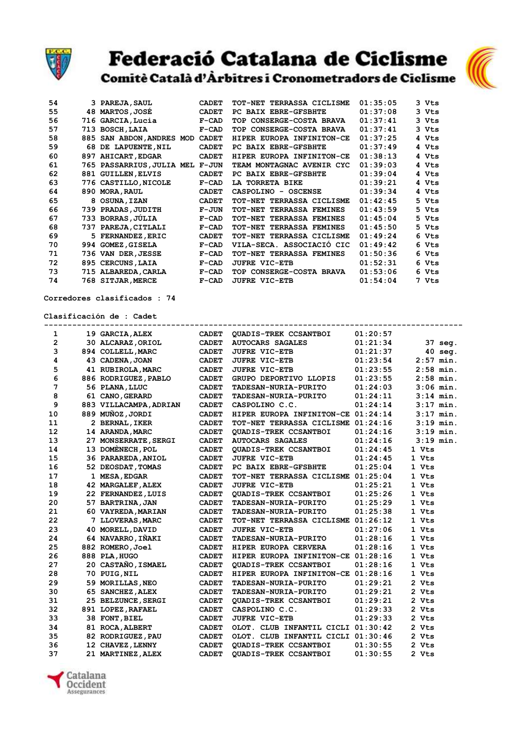

## Federació Catalana de Ciclisme<br>Comitè Català d'Àrbitres i Cronometradors de Ciclisme



| 54 |     | 3 PAREJA, SAUL                  | <b>CADET</b> | TOT-NET TERRASSA CICLISME | 01:35:05 | 3 Vts |
|----|-----|---------------------------------|--------------|---------------------------|----------|-------|
| 55 |     | 48 MARTOS, JOSE                 | <b>CADET</b> | PC BAIX EBRE-GFSBHTE      | 01:37:08 | 3 Vts |
| 56 |     | 716 GARCIA, Lucia               | $F-CAD$      | TOP CONSERGE-COSTA BRAVA  | 01:37:41 | 3 Vts |
| 57 | 713 | <b>BOSCH, LAIA</b>              | $F-CAD$      | TOP CONSERGE-COSTA BRAVA  | 01:37:41 | 3 Vts |
| 58 |     | 885 SAN ABDON, ANDRES MOD CADET |              | HIPER EUROPA INFINITON-CE | 01:37:25 | 4 Vts |
| 59 |     | 68 DE LAPUENTE, NIL             | <b>CADET</b> | PC BAIX EBRE-GFSBHTE      | 01:37:49 | 4 Vts |
| 60 |     | 897 AHICART, EDGAR              | <b>CADET</b> | HIPER EUROPA INFINITON-CE | 01:38:13 | 4 Vts |
| 61 |     | 765 PASSARRIUS, JULIA MEL F-JUN |              | TEAM MONTAGNAC AVENIR CYC | 01:39:03 | 4 Vts |
| 62 |     | 881 GUILLEN, ELVIS              | <b>CADET</b> | PC BAIX EBRE-GFSBHTE      | 01:39:04 | 4 Vts |
| 63 |     | 776 CASTILLO, NICOLE            | $F-CAD$      | LA TORRETA BIKE           | 01:39:21 | 4 Vts |
| 64 |     | 890 MORA, RAUL                  | <b>CADET</b> | CASPOLINO - OSCENSE       | 01:39:34 | 4 Vts |
| 65 |     | 8 OSUNA, IZAN                   | <b>CADET</b> | TOT-NET TERRASSA CICLISME | 01:42:45 | 5 Vts |
| 66 |     | 739 PRADAS, JUDITH              | $F-JUN$      | TOT-NET TERRASSA FEMINES  | 01:43:59 | 5 Vts |
| 67 |     | 733 BORRAS, JÚLIA               | $F-CAD$      | TOT-NET TERRASSA FEMINES  | 01:45:04 | 5 Vts |
| 68 |     | 737 PAREJA, CITLALI             | $F-CAD$      | TOT-NET TERRASSA FEMINES  | 01:45:50 | 5 Vts |
| 69 |     | 5 FERNANDEZ, ERIC               | <b>CADET</b> | TOT-NET TERRASSA CICLISME | 01:49:24 | 6 Vts |
| 70 |     | 994 GOMEZ, GISELA               | $F-CAD$      | VILA-SECA. ASSOCIACIÓ CIC | 01:49:42 | 6 Vts |
| 71 |     | 736 VAN DER, JESSE              | $F-CAD$      | TOT-NET TERRASSA FEMINES  | 01:50:36 | 6 Vts |
| 72 |     | 895 CERCUNS, LAIA               | $F-CAD$      | <b>JUFRE VIC-ETB</b>      | 01:52:31 | 6 Vts |
| 73 |     | 715 ALBAREDA, CARLA             | $F-CAD$      | TOP CONSERGE-COSTA BRAVA  | 01:53:06 | 6 Vts |
| 74 |     | 768 SITJAR, MERCE               | $F-CAD$      | <b>JUFRE VIC-ETB</b>      | 01:54:04 | 7 Vts |

## **Corredores clasificados : 74**

**Clasificación de : Cadet**

| 1              | 19 GARCIA, ALEX        | <b>CADET</b> | QUADIS-TREK CCSANTBOI              | 01:20:57 |             |
|----------------|------------------------|--------------|------------------------------------|----------|-------------|
| $\overline{2}$ | 30 ALCARAZ, ORIOL      | <b>CADET</b> | <b>AUTOCARS SAGALES</b>            | 01:21:34 | 37 seg.     |
| 3              | 894 COLLELL, MARC      | <b>CADET</b> | <b>JUFRE VIC-ETB</b>               | 01:21:37 | $40$ seg.   |
| 4              | 43 CADENA, JOAN        | <b>CADET</b> | <b>JUFRE VIC-ETB</b>               | 01:23:54 | $2:57$ min. |
| 5              | 41 RUBIROLA, MARC      | <b>CADET</b> | <b>JUFRE VIC-ETB</b>               | 01:23:55 | $2:58$ min. |
| 6              | 886 RODRIGUEZ, PABLO   | <b>CADET</b> | GRUPO DEPORTIVO LLOPIS             | 01:23:55 | $2:58$ min. |
| 7              | 56 PLANA, LLUC         | <b>CADET</b> | TADESAN-NURIA-PURITO               | 01:24:03 | $3:06$ min. |
| 8              | 61 CANO, GERARD        | <b>CADET</b> | TADESAN-NURIA-PURITO               | 01:24:11 | $3:14$ min. |
| 9              | 883 VILLACAMPA, ADRIAN | <b>CADET</b> | CASPOLINO C.C.                     | 01:24:14 | $3:17$ min. |
| 10             | 889 MUÑOZ, JORDI       | <b>CADET</b> | HIPER EUROPA INFINITON-CE          | 01:24:14 | $3:17$ min. |
| 11             | 2 BERNAL, IKER         | <b>CADET</b> | TOT-NET TERRASSA CICLISME          | 01:24:16 | $3:19$ min. |
| 12             | 14 ARANDA, MARC        | <b>CADET</b> | <b>QUADIS-TREK CCSANTBOI</b>       | 01:24:16 | $3:19$ min. |
| 13             | 27 MONSERRATE, SERGI   | <b>CADET</b> | <b>AUTOCARS SAGALES</b>            | 01:24:16 | $3:19$ min. |
| 14             | 13 DOMENECH, POL       | <b>CADET</b> | <b>QUADIS-TREK CCSANTBOI</b>       | 01:24:45 | 1 Vts       |
| 15             | 36 PARAREDA, ANIOL     | <b>CADET</b> | <b>JUFRE VIC-ETB</b>               | 01:24:45 | 1 Vts       |
| 16             | 52 DEOSDAT, TOMAS      | <b>CADET</b> | PC BAIX EBRE-GFSBHTE               | 01:25:04 | 1 Vts       |
| 17             | 1 MESA, EDGAR          | <b>CADET</b> | TOT-NET TERRASSA CICLISME          | 01:25:04 | 1 Vts       |
| 18             | 42 MARGALEF, ALEX      | <b>CADET</b> | <b>JUFRE VIC-ETB</b>               | 01:25:21 | 1 Vts       |
| 19             | 22 FERNANDEZ, LUIS     | <b>CADET</b> | <b>OUADIS-TREK CCSANTBOI</b>       | 01:25:26 | 1 Vts       |
| 20             | 57 BARTRINA, JAN       | <b>CADET</b> | <b>TADESAN-NURIA-PURITO</b>        | 01:25:29 | 1 Vts       |
| 21             | 60 VAYREDA, MARIAN     | <b>CADET</b> | <b>TADESAN-NURIA-PURITO</b>        | 01:25:38 | 1 Vts       |
| 22             | 7 LLOVERAS, MARC       | <b>CADET</b> | TOT-NET TERRASSA CICLISME          | 01:26:12 | 1 Vts       |
| 23             | 40 MORELL, DAVID       | <b>CADET</b> | <b>JUFRE VIC-ETB</b>               | 01:27:06 | 1 Vts       |
| 24             | 64 NAVARRO, IÑAKI      | <b>CADET</b> | <b>TADESAN-NURIA-PURITO</b>        | 01:28:16 | 1 Vts       |
| 25             | 882 ROMERO, Joel       | <b>CADET</b> | HIPER EUROPA CERVERA               | 01:28:16 | 1 Vts       |
| 26             | 888 PLA, HUGO          | <b>CADET</b> | HIPER EUROPA INFINITON-CE          | 01:28:16 | 1 Vts       |
| 27             | 20 CASTAÑO, ISMAEL     | <b>CADET</b> | <b>QUADIS-TREK CCSANTBOI</b>       | 01:28:16 | 1 Vts       |
| 28             | 70 PUIG, NIL           | <b>CADET</b> | HIPER EUROPA INFINITON-CE          | 01:28:16 | 1 Vts       |
| 29             | 59 MORILLAS, NEO       | <b>CADET</b> | <b>TADESAN-NURIA-PURITO</b>        | 01:29:21 | 2 Vts       |
| 30             | 65 SANCHEZ, ALEX       | <b>CADET</b> | <b>TADESAN-NURIA-PURITO</b>        | 01:29:21 | 2 Vts       |
| 31             | 25 BELZUNCE, SERGI     | <b>CADET</b> | <b>QUADIS-TREK CCSANTBOI</b>       | 01:29:21 | 2 Vts       |
| 32             | 891 LOPEZ, RAFAEL      | <b>CADET</b> | CASPOLINO C.C.                     | 01:29:33 | 2 Vts       |
| 33             | 38 FONT, BIEL          | <b>CADET</b> | <b>JUFRE VIC-ETB</b>               | 01:29:33 | 2 Vts       |
| 34             | 81 ROCA, ALBERT        | <b>CADET</b> | OLOT. CLUB INFANTIL CICLI 01:30:42 |          | 2 Vts       |
| 35             | 82 RODRIGUEZ, PAU      | <b>CADET</b> | OLOT. CLUB INFANTIL CICLI 01:30:46 |          | 2 Vts       |
| 36             | 12 CHAVEZ, LENNY       | <b>CADET</b> | <b>QUADIS-TREK CCSANTBOI</b>       | 01:30:55 | 2 Vts       |
| 37             | 21 MARTINEZ, ALEX      | <b>CADET</b> | <b>OUADIS-TREK CCSANTBOI</b>       | 01:30:55 | 2 Vts       |